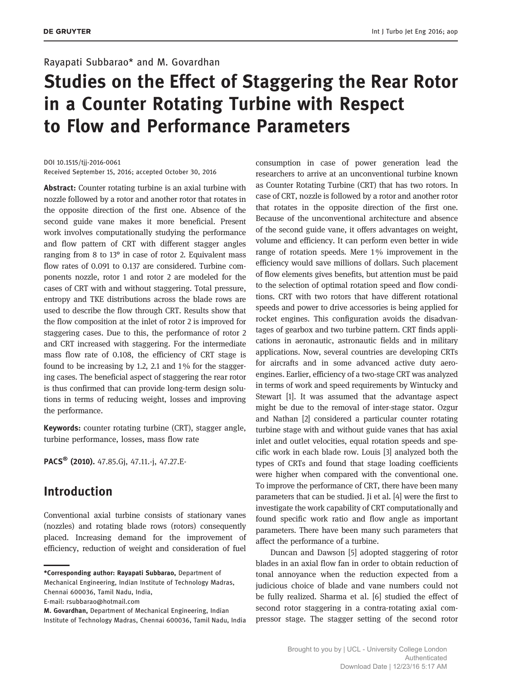#### Rayapati Subbarao\* and M. Govardhan

# Studies on the Effect of Staggering the Rear Rotor in a Counter Rotating Turbine with Respect to Flow and Performance Parameters

DOI 10.1515/tjj-2016-0061 Received September 15, 2016; accepted October 30, 2016

Abstract: Counter rotating turbine is an axial turbine with nozzle followed by a rotor and another rotor that rotates in the opposite direction of the first one. Absence of the second guide vane makes it more beneficial. Present work involves computationally studying the performance and flow pattern of CRT with different stagger angles ranging from 8 to 13° in case of rotor 2. Equivalent mass flow rates of 0.091 to 0.137 are considered. Turbine components nozzle, rotor 1 and rotor 2 are modeled for the cases of CRT with and without staggering. Total pressure, entropy and TKE distributions across the blade rows are used to describe the flow through CRT. Results show that the flow composition at the inlet of rotor 2 is improved for staggering cases. Due to this, the performance of rotor 2 and CRT increased with staggering. For the intermediate mass flow rate of 0.108, the efficiency of CRT stage is found to be increasing by 1.2, 2.1 and  $1\%$  for the staggering cases. The beneficial aspect of staggering the rear rotor is thus confirmed that can provide long-term design solutions in terms of reducing weight, losses and improving the performance.

Keywords: counter rotating turbine (CRT), stagger angle, turbine performance, losses, mass flow rate

PACS<sup>®</sup> (2010). 47.85.Gj, 47.11.-j, 47.27.E-

## Introduction

Conventional axial turbine consists of stationary vanes (nozzles) and rotating blade rows (rotors) consequently placed. Increasing demand for the improvement of efficiency, reduction of weight and consideration of fuel

consumption in case of power generation lead the researchers to arrive at an unconventional turbine known as Counter Rotating Turbine (CRT) that has two rotors. In case of CRT, nozzle is followed by a rotor and another rotor that rotates in the opposite direction of the first one. Because of the unconventional architecture and absence of the second guide vane, it offers advantages on weight, volume and efficiency. It can perform even better in wide range of rotation speeds. Mere 1% improvement in the efficiency would save millions of dollars. Such placement of flow elements gives benefits, but attention must be paid to the selection of optimal rotation speed and flow conditions. CRT with two rotors that have different rotational speeds and power to drive accessories is being applied for rocket engines. This configuration avoids the disadvantages of gearbox and two turbine pattern. CRT finds applications in aeronautic, astronautic fields and in military applications. Now, several countries are developing CRTs for aircrafts and in some advanced active duty aeroengines. Earlier, efficiency of a two-stage CRT was analyzed in terms of work and speed requirements by Wintucky and Stewart [1]. It was assumed that the advantage aspect might be due to the removal of inter-stage stator. Ozgur and Nathan [2] considered a particular counter rotating turbine stage with and without guide vanes that has axial inlet and outlet velocities, equal rotation speeds and specific work in each blade row. Louis [3] analyzed both the types of CRTs and found that stage loading coefficients were higher when compared with the conventional one. To improve the performance of CRT, there have been many parameters that can be studied. Ji et al. [4] were the first to investigate the work capability of CRT computationally and found specific work ratio and flow angle as important parameters. There have been many such parameters that affect the performance of a turbine.

Duncan and Dawson [5] adopted staggering of rotor blades in an axial flow fan in order to obtain reduction of tonal annoyance when the reduction expected from a judicious choice of blade and vane numbers could not be fully realized. Sharma et al. [6] studied the effect of second rotor staggering in a contra-rotating axial compressor stage. The stagger setting of the second rotor

<sup>\*</sup>Corresponding author: Rayapati Subbarao, Department of Mechanical Engineering, Indian Institute of Technology Madras, Chennai 600036, Tamil Nadu, India,

E-mail: rsubbarao@hotmail.com

M. Govardhan, Department of Mechanical Engineering, Indian Institute of Technology Madras, Chennai 600036, Tamil Nadu, India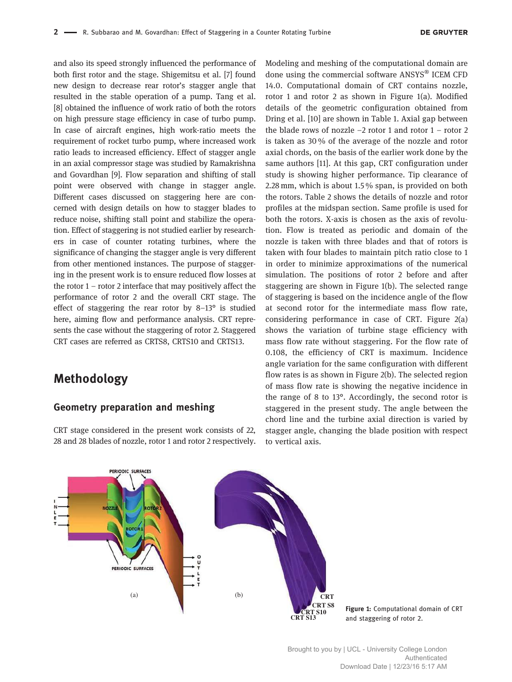and also its speed strongly influenced the performance of both first rotor and the stage. Shigemitsu et al. [7] found new design to decrease rear rotor's stagger angle that resulted in the stable operation of a pump. Tang et al. [8] obtained the influence of work ratio of both the rotors on high pressure stage efficiency in case of turbo pump. In case of aircraft engines, high work-ratio meets the requirement of rocket turbo pump, where increased work ratio leads to increased efficiency. Effect of stagger angle in an axial compressor stage was studied by Ramakrishna and Govardhan [9]. Flow separation and shifting of stall point were observed with change in stagger angle. Different cases discussed on staggering here are concerned with design details on how to stagger blades to reduce noise, shifting stall point and stabilize the operation. Effect of staggering is not studied earlier by researchers in case of counter rotating turbines, where the significance of changing the stagger angle is very different from other mentioned instances. The purpose of staggering in the present work is to ensure reduced flow losses at the rotor 1 – rotor 2 interface that may positively affect the performance of rotor 2 and the overall CRT stage. The effect of staggering the rear rotor by 8–13° is studied here, aiming flow and performance analysis. CRT represents the case without the staggering of rotor 2. Staggered CRT cases are referred as CRTS8, CRTS10 and CRTS13.

## Methodology

#### Geometry preparation and meshing

CRT stage considered in the present work consists of 22, 28 and 28 blades of nozzle, rotor 1 and rotor 2 respectively. Modeling and meshing of the computational domain are done using the commercial software ANSYS® ICEM CFD 14.0. Computational domain of CRT contains nozzle, rotor 1 and rotor 2 as shown in Figure 1(a). Modified details of the geometric configuration obtained from Dring et al. [10] are shown in Table 1. Axial gap between the blade rows of nozzle  $-2$  rotor 1 and rotor 1 – rotor 2 is taken as 30 % of the average of the nozzle and rotor axial chords, on the basis of the earlier work done by the same authors [11]. At this gap, CRT configuration under study is showing higher performance. Tip clearance of 2.28 mm, which is about 1.5 % span, is provided on both the rotors. Table 2 shows the details of nozzle and rotor profiles at the midspan section. Same profile is used for both the rotors. X-axis is chosen as the axis of revolution. Flow is treated as periodic and domain of the nozzle is taken with three blades and that of rotors is taken with four blades to maintain pitch ratio close to 1 in order to minimize approximations of the numerical simulation. The positions of rotor 2 before and after staggering are shown in Figure 1(b). The selected range of staggering is based on the incidence angle of the flow at second rotor for the intermediate mass flow rate, considering performance in case of CRT. Figure 2(a) shows the variation of turbine stage efficiency with mass flow rate without staggering. For the flow rate of 0.108, the efficiency of CRT is maximum. Incidence angle variation for the same configuration with different flow rates is as shown in Figure 2(b). The selected region of mass flow rate is showing the negative incidence in the range of 8 to 13°. Accordingly, the second rotor is staggered in the present study. The angle between the chord line and the turbine axial direction is varied by stagger angle, changing the blade position with respect to vertical axis.



**CRT S8** Figure 1: Computational domain of CRT and staggering of rotor 2.

Brought to you by | UCL - University College London Authenticated Download Date | 12/23/16 5:17 AM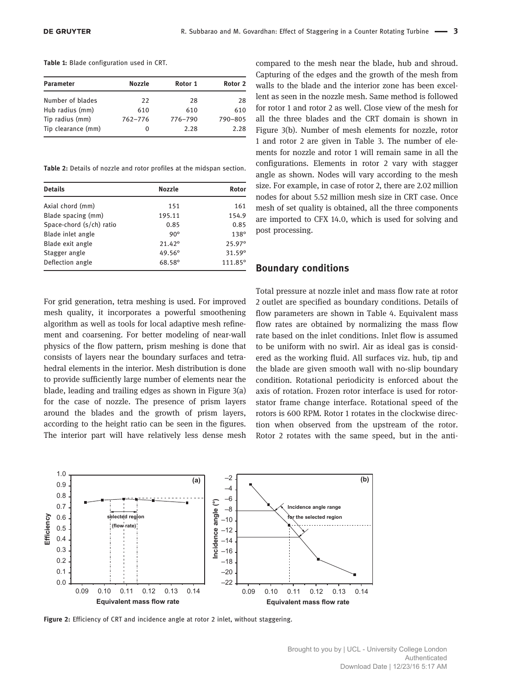| <b>Nozzle</b> | Rotor 1 | Rotor <sub>2</sub> |
|---------------|---------|--------------------|
| 22            | 28      | 28                 |
| 610           | 610     | 610                |
| 762-776       | 776-790 | 790-805            |
| 0             | 2.28    | 2.28               |
|               |         |                    |

Table 1: Blade configuration used in CRT.

Table 2: Details of nozzle and rotor profiles at the midspan section.

| <b>Details</b>           | <b>Nozzle</b>   | Rotor   |
|--------------------------|-----------------|---------|
| Axial chord (mm)         | 151             | 161     |
| Blade spacing (mm)       | 195.11          | 154.9   |
| Space-chord (s/ch) ratio | 0.85            | 0.85    |
| Blade inlet angle        | $90^\circ$      | 138°    |
| Blade exit angle         | $21.42^{\circ}$ | 25.97°  |
| Stagger angle            | $49.56^{\circ}$ | 31.59°  |
| Deflection angle         | 68.58°          | 111.85° |

For grid generation, tetra meshing is used. For improved mesh quality, it incorporates a powerful smoothening algorithm as well as tools for local adaptive mesh refinement and coarsening. For better modeling of near-wall physics of the flow pattern, prism meshing is done that consists of layers near the boundary surfaces and tetrahedral elements in the interior. Mesh distribution is done to provide sufficiently large number of elements near the blade, leading and trailing edges as shown in Figure 3(a) for the case of nozzle. The presence of prism layers around the blades and the growth of prism layers, according to the height ratio can be seen in the figures. The interior part will have relatively less dense mesh

compared to the mesh near the blade, hub and shroud. Capturing of the edges and the growth of the mesh from walls to the blade and the interior zone has been excellent as seen in the nozzle mesh. Same method is followed for rotor 1 and rotor 2 as well. Close view of the mesh for all the three blades and the CRT domain is shown in Figure 3(b). Number of mesh elements for nozzle, rotor 1 and rotor 2 are given in Table 3. The number of elements for nozzle and rotor 1 will remain same in all the configurations. Elements in rotor 2 vary with stagger angle as shown. Nodes will vary according to the mesh size. For example, in case of rotor 2, there are 2.02 million nodes for about 5.52 million mesh size in CRT case. Once mesh of set quality is obtained, all the three components are imported to CFX 14.0, which is used for solving and post processing.

#### Boundary conditions

Total pressure at nozzle inlet and mass flow rate at rotor 2 outlet are specified as boundary conditions. Details of flow parameters are shown in Table 4. Equivalent mass flow rates are obtained by normalizing the mass flow rate based on the inlet conditions. Inlet flow is assumed to be uniform with no swirl. Air as ideal gas is considered as the working fluid. All surfaces viz. hub, tip and the blade are given smooth wall with no-slip boundary condition. Rotational periodicity is enforced about the axis of rotation. Frozen rotor interface is used for rotorstator frame change interface. Rotational speed of the rotors is 600 RPM. Rotor 1 rotates in the clockwise direction when observed from the upstream of the rotor. Rotor 2 rotates with the same speed, but in the anti-



Figure 2: Efficiency of CRT and incidence angle at rotor 2 inlet, without staggering.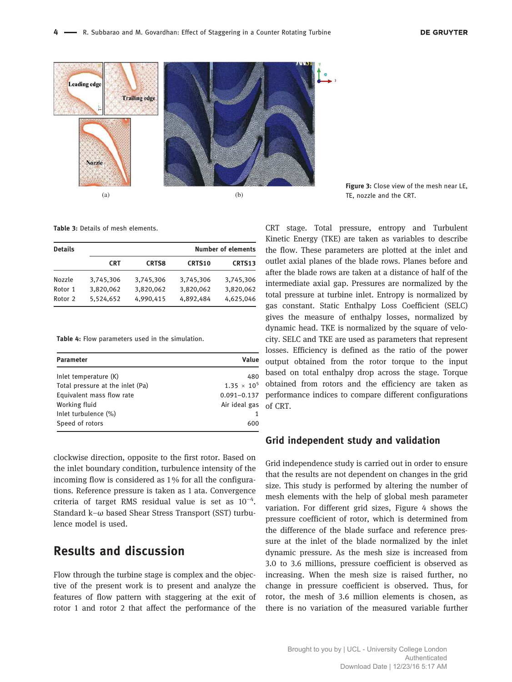

Figure 3: Close view of the mesh near LE, TE, nozzle and the CRT.

Table 3: Details of mesh elements.

| <b>Details</b> | <b>Number of elements</b> |              |           |           |  |
|----------------|---------------------------|--------------|-----------|-----------|--|
|                | <b>CRT</b>                | <b>CRTS8</b> | CRTS10    | CRTS13    |  |
| Nozzle         | 3,745,306                 | 3,745,306    | 3,745,306 | 3,745,306 |  |
| Rotor 1        | 3,820,062                 | 3,820,062    | 3,820,062 | 3,820,062 |  |
| Rotor 2        | 5,524,652                 | 4,990,415    | 4.892.484 | 4,625,046 |  |

Table 4: Flow parameters used in the simulation.

| <b>Parameter</b>                 | Value                |  |
|----------------------------------|----------------------|--|
| Inlet temperature (K)            | 480                  |  |
| Total pressure at the inlet (Pa) | $1.35 \times 10^{5}$ |  |
| Equivalent mass flow rate        | $0.091 - 0.137$      |  |
| Working fluid                    | Air ideal gas        |  |
| Inlet turbulence (%)             | -1                   |  |
| Speed of rotors                  | 600                  |  |

clockwise direction, opposite to the first rotor. Based on the inlet boundary condition, turbulence intensity of the incoming flow is considered as 1% for all the configurations. Reference pressure is taken as 1 ata. Convergence criteria of target RMS residual value is set as 10−<sup>4</sup> . Standard k–ω based Shear Stress Transport (SST) turbulence model is used.

# Results and discussion

Flow through the turbine stage is complex and the objective of the present work is to present and analyze the features of flow pattern with staggering at the exit of rotor 1 and rotor 2 that affect the performance of the

CRT stage. Total pressure, entropy and Turbulent Kinetic Energy (TKE) are taken as variables to describe the flow. These parameters are plotted at the inlet and outlet axial planes of the blade rows. Planes before and after the blade rows are taken at a distance of half of the intermediate axial gap. Pressures are normalized by the total pressure at turbine inlet. Entropy is normalized by gas constant. Static Enthalpy Loss Coefficient (SELC) gives the measure of enthalpy losses, normalized by dynamic head. TKE is normalized by the square of velocity. SELC and TKE are used as parameters that represent losses. Efficiency is defined as the ratio of the power output obtained from the rotor torque to the input based on total enthalpy drop across the stage. Torque obtained from rotors and the efficiency are taken as performance indices to compare different configurations of CRT.

#### Grid independent study and validation

Grid independence study is carried out in order to ensure that the results are not dependent on changes in the grid size. This study is performed by altering the number of mesh elements with the help of global mesh parameter variation. For different grid sizes, Figure 4 shows the pressure coefficient of rotor, which is determined from the difference of the blade surface and reference pressure at the inlet of the blade normalized by the inlet dynamic pressure. As the mesh size is increased from 3.0 to 3.6 millions, pressure coefficient is observed as increasing. When the mesh size is raised further, no change in pressure coefficient is observed. Thus, for rotor, the mesh of 3.6 million elements is chosen, as there is no variation of the measured variable further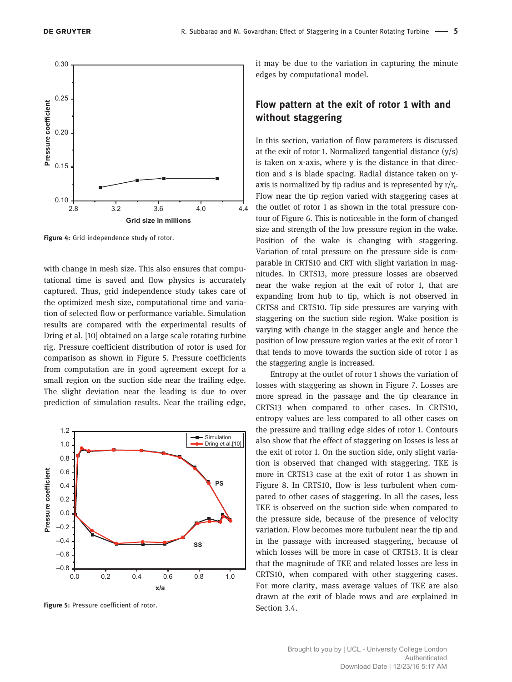

Figure 4: Grid independence study of rotor.

with change in mesh size. This also ensures that computational time is saved and flow physics is accurately captured. Thus, grid independence study takes care of the optimized mesh size, computational time and variation of selected flow or performance variable. Simulation results are compared with the experimental results of Dring et al. [10] obtained on a large scale rotating turbine rig. Pressure coefficient distribution of rotor is used for comparison as shown in Figure 5. Pressure coefficients from computation are in good agreement except for a small region on the suction side near the trailing edge. The slight deviation near the leading is due to over prediction of simulation results. Near the trailing edge,



Figure 5: Pressure coefficient of rotor.

it may be due to the variation in capturing the minute edges by computational model.

### Flow pattern at the exit of rotor 1 with and without staggering

In this section, variation of flow parameters is discussed at the exit of rotor 1. Normalized tangential distance  $(y/s)$ is taken on x-axis, where y is the distance in that direction and s is blade spacing. Radial distance taken on yaxis is normalized by tip radius and is represented by  $r/r_t$ . Flow near the tip region varied with staggering cases at the outlet of rotor 1 as shown in the total pressure contour of Figure 6. This is noticeable in the form of changed size and strength of the low pressure region in the wake. Position of the wake is changing with staggering. Variation of total pressure on the pressure side is comparable in CRTS10 and CRT with slight variation in magnitudes. In CRTS13, more pressure losses are observed near the wake region at the exit of rotor 1, that are expanding from hub to tip, which is not observed in CRTS8 and CRTS10. Tip side pressures are varying with staggering on the suction side region. Wake position is varying with change in the stagger angle and hence the position of low pressure region varies at the exit of rotor 1 that tends to move towards the suction side of rotor 1 as the staggering angle is increased.

Entropy at the outlet of rotor 1 shows the variation of losses with staggering as shown in Figure 7. Losses are more spread in the passage and the tip clearance in CRTS13 when compared to other cases. In CRTS10, entropy values are less compared to all other cases on the pressure and trailing edge sides of rotor 1. Contours also show that the effect of staggering on losses is less at the exit of rotor 1. On the suction side, only slight variation is observed that changed with staggering. TKE is more in CRTS13 case at the exit of rotor 1 as shown in Figure 8. In CRTS10, flow is less turbulent when compared to other cases of staggering. In all the cases, less TKE is observed on the suction side when compared to the pressure side, because of the presence of velocity variation. Flow becomes more turbulent near the tip and in the passage with increased staggering, because of which losses will be more in case of CRTS13. It is clear that the magnitude of TKE and related losses are less in CRTS10, when compared with other staggering cases. For more clarity, mass average values of TKE are also drawn at the exit of blade rows and are explained in Section 3.4.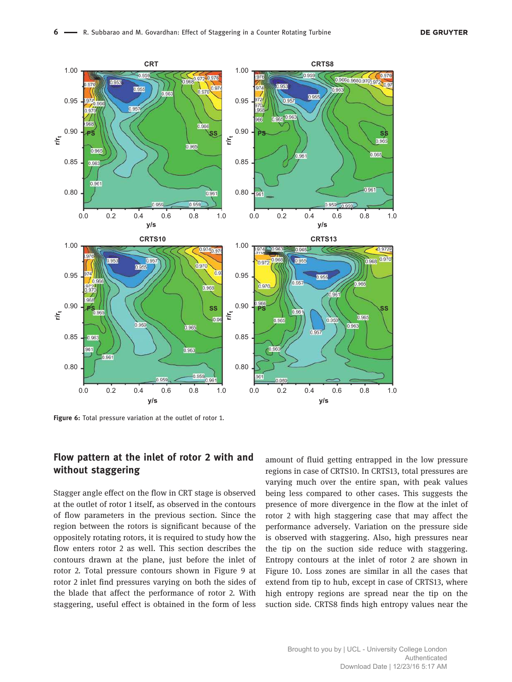

Figure 6: Total pressure variation at the outlet of rotor 1.

### Flow pattern at the inlet of rotor 2 with and without staggering

Stagger angle effect on the flow in CRT stage is observed at the outlet of rotor 1 itself, as observed in the contours of flow parameters in the previous section. Since the region between the rotors is significant because of the oppositely rotating rotors, it is required to study how the flow enters rotor 2 as well. This section describes the contours drawn at the plane, just before the inlet of rotor 2. Total pressure contours shown in Figure 9 at rotor 2 inlet find pressures varying on both the sides of the blade that affect the performance of rotor 2. With staggering, useful effect is obtained in the form of less

amount of fluid getting entrapped in the low pressure regions in case of CRTS10. In CRTS13, total pressures are varying much over the entire span, with peak values being less compared to other cases. This suggests the presence of more divergence in the flow at the inlet of rotor 2 with high staggering case that may affect the performance adversely. Variation on the pressure side is observed with staggering. Also, high pressures near the tip on the suction side reduce with staggering. Entropy contours at the inlet of rotor 2 are shown in Figure 10. Loss zones are similar in all the cases that extend from tip to hub, except in case of CRTS13, where high entropy regions are spread near the tip on the suction side. CRTS8 finds high entropy values near the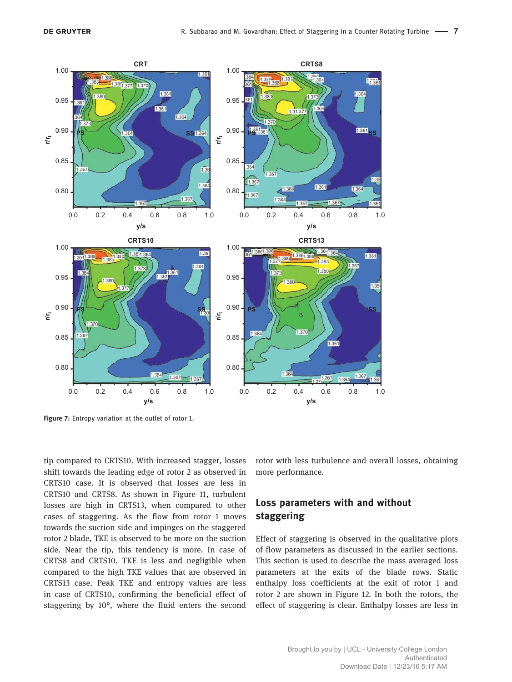

Figure 7: Entropy variation at the outlet of rotor 1.

tip compared to CRTS10. With increased stagger, losses shift towards the leading edge of rotor 2 as observed in CRTS10 case. It is observed that losses are less in CRTS10 and CRTS8. As shown in Figure 11, turbulent losses are high in CRTS13, when compared to other cases of staggering. As the flow from rotor 1 moves towards the suction side and impinges on the staggered rotor 2 blade, TKE is observed to be more on the suction side. Near the tip, this tendency is more. In case of CRTS8 and CRTS10, TKE is less and negligible when compared to the high TKE values that are observed in CRTS13 case. Peak TKE and entropy values are less in case of CRTS10, confirming the beneficial effect of staggering by 10°, where the fluid enters the second

rotor with less turbulence and overall losses, obtaining more performance.

## Loss parameters with and without staggering

Effect of staggering is observed in the qualitative plots of flow parameters as discussed in the earlier sections. This section is used to describe the mass averaged loss parameters at the exits of the blade rows. Static enthalpy loss coefficients at the exit of rotor 1 and rotor 2 are shown in Figure 12. In both the rotors, the effect of staggering is clear. Enthalpy losses are less in

> Brought to you by | UCL - University College London Authenticated Download Date | 12/23/16 5:17 AM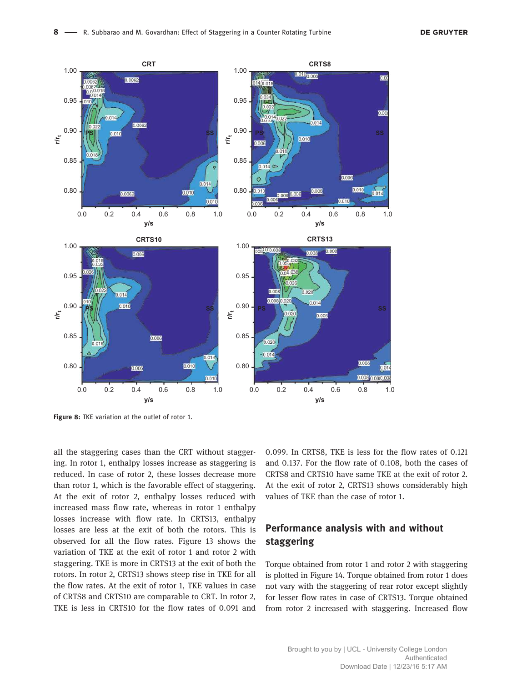

Figure 8: TKE variation at the outlet of rotor 1.

all the staggering cases than the CRT without staggering. In rotor 1, enthalpy losses increase as staggering is reduced. In case of rotor 2, these losses decrease more than rotor 1, which is the favorable effect of staggering. At the exit of rotor 2, enthalpy losses reduced with increased mass flow rate, whereas in rotor 1 enthalpy losses increase with flow rate. In CRTS13, enthalpy losses are less at the exit of both the rotors. This is observed for all the flow rates. Figure 13 shows the variation of TKE at the exit of rotor 1 and rotor 2 with staggering. TKE is more in CRTS13 at the exit of both the rotors. In rotor 2, CRTS13 shows steep rise in TKE for all the flow rates. At the exit of rotor 1, TKE values in case of CRTS8 and CRTS10 are comparable to CRT. In rotor 2, TKE is less in CRTS10 for the flow rates of 0.091 and

0.099. In CRTS8, TKE is less for the flow rates of 0.121 and 0.137. For the flow rate of 0.108, both the cases of CRTS8 and CRTS10 have same TKE at the exit of rotor 2. At the exit of rotor 2, CRTS13 shows considerably high values of TKE than the case of rotor 1.

## Performance analysis with and without staggering

Torque obtained from rotor 1 and rotor 2 with staggering is plotted in Figure 14. Torque obtained from rotor 1 does not vary with the staggering of rear rotor except slightly for lesser flow rates in case of CRTS13. Torque obtained from rotor 2 increased with staggering. Increased flow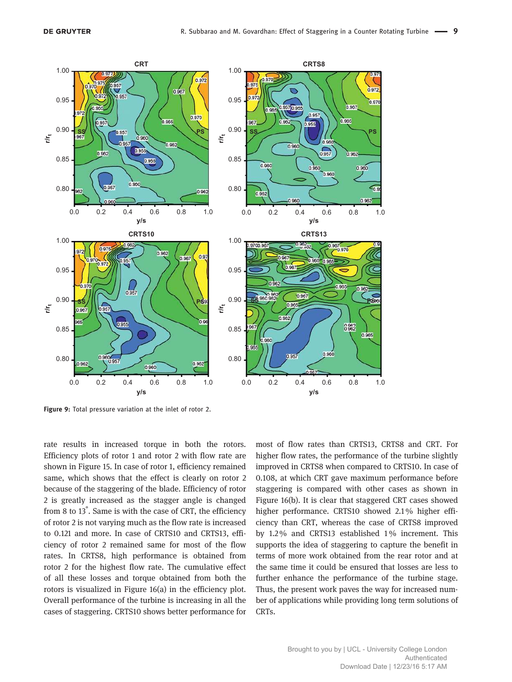

Figure 9: Total pressure variation at the inlet of rotor 2.

rate results in increased torque in both the rotors. Efficiency plots of rotor 1 and rotor 2 with flow rate are shown in Figure 15. In case of rotor 1, efficiency remained same, which shows that the effect is clearly on rotor 2 because of the staggering of the blade. Efficiency of rotor 2 is greatly increased as the stagger angle is changed from 8 to 13° . Same is with the case of CRT, the efficiency of rotor 2 is not varying much as the flow rate is increased to 0.121 and more. In case of CRTS10 and CRTS13, efficiency of rotor 2 remained same for most of the flow rates. In CRTS8, high performance is obtained from rotor 2 for the highest flow rate. The cumulative effect of all these losses and torque obtained from both the rotors is visualized in Figure 16(a) in the efficiency plot. Overall performance of the turbine is increasing in all the cases of staggering. CRTS10 shows better performance for

most of flow rates than CRTS13, CRTS8 and CRT. For higher flow rates, the performance of the turbine slightly improved in CRTS8 when compared to CRTS10. In case of 0.108, at which CRT gave maximum performance before staggering is compared with other cases as shown in Figure 16(b). It is clear that staggered CRT cases showed higher performance. CRTS10 showed 2.1 % higher efficiency than CRT, whereas the case of CRTS8 improved by 1.2% and CRTS13 established 1% increment. This supports the idea of staggering to capture the benefit in terms of more work obtained from the rear rotor and at the same time it could be ensured that losses are less to further enhance the performance of the turbine stage. Thus, the present work paves the way for increased number of applications while providing long term solutions of CRTs.

> Brought to you by | UCL - University College London Authenticated Download Date | 12/23/16 5:17 AM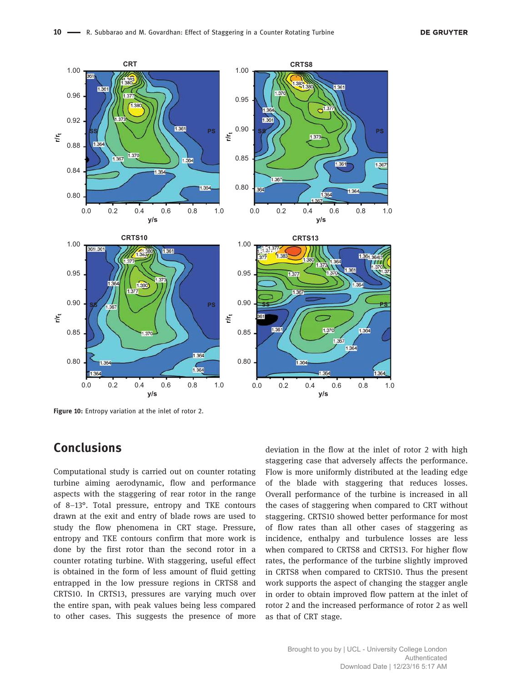

Figure 10: Entropy variation at the inlet of rotor 2.

## Conclusions

Computational study is carried out on counter rotating turbine aiming aerodynamic, flow and performance aspects with the staggering of rear rotor in the range of 8–13°. Total pressure, entropy and TKE contours drawn at the exit and entry of blade rows are used to study the flow phenomena in CRT stage. Pressure, entropy and TKE contours confirm that more work is done by the first rotor than the second rotor in a counter rotating turbine. With staggering, useful effect is obtained in the form of less amount of fluid getting entrapped in the low pressure regions in CRTS8 and CRTS10. In CRTS13, pressures are varying much over the entire span, with peak values being less compared to other cases. This suggests the presence of more

deviation in the flow at the inlet of rotor 2 with high staggering case that adversely affects the performance. Flow is more uniformly distributed at the leading edge of the blade with staggering that reduces losses. Overall performance of the turbine is increased in all the cases of staggering when compared to CRT without staggering. CRTS10 showed better performance for most of flow rates than all other cases of staggering as incidence, enthalpy and turbulence losses are less when compared to CRTS8 and CRTS13. For higher flow rates, the performance of the turbine slightly improved in CRTS8 when compared to CRTS10. Thus the present work supports the aspect of changing the stagger angle in order to obtain improved flow pattern at the inlet of rotor 2 and the increased performance of rotor 2 as well as that of CRT stage.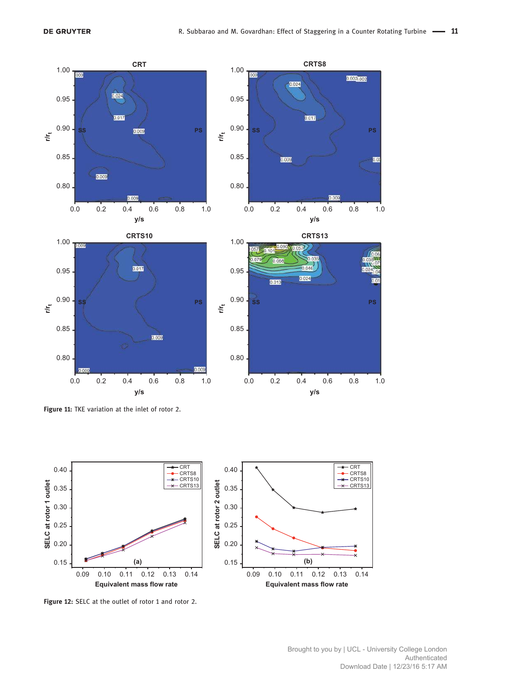$\overline{00}$ 



Figure 11: TKE variation at the inlet of rotor 2.



Figure 12: SELC at the outlet of rotor 1 and rotor 2.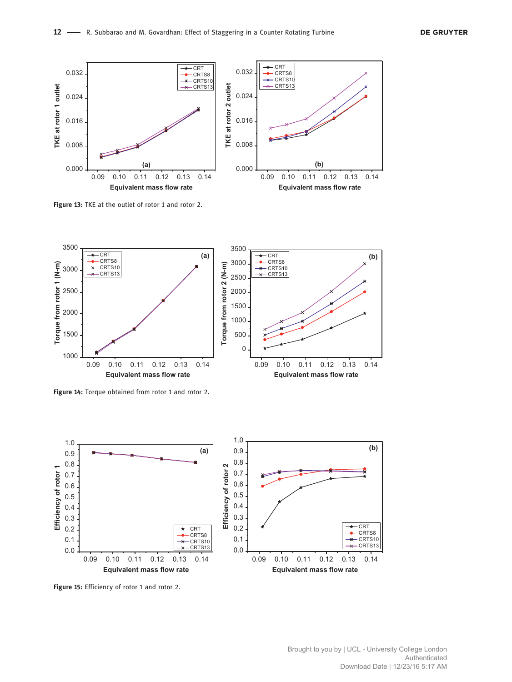

Figure 13: TKE at the outlet of rotor 1 and rotor 2.



Figure 14: Torque obtained from rotor 1 and rotor 2.



Figure 15: Efficiency of rotor 1 and rotor 2.